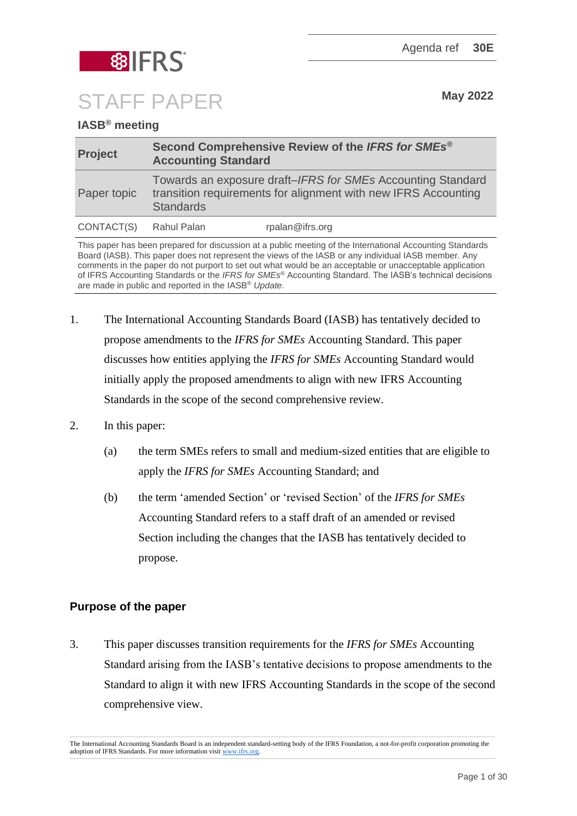Agenda ref **30E**



STAFF PAPER May 2022

## **IASB® meeting**

| <b>Project</b> | Second Comprehensive Review of the IFRS for SMEs <sup>®</sup><br><b>Accounting Standard</b>                                                       |                 |
|----------------|---------------------------------------------------------------------------------------------------------------------------------------------------|-----------------|
| Paper topic    | Towards an exposure draft–IFRS for SMEs Accounting Standard<br>transition requirements for alignment with new IFRS Accounting<br><b>Standards</b> |                 |
| CONTACT(S)     | Rahul Palan                                                                                                                                       | rpalan@ifrs.org |

This paper has been prepared for discussion at a public meeting of the International Accounting Standards Board (IASB). This paper does not represent the views of the IASB or any individual IASB member. Any comments in the paper do not purport to set out what would be an acceptable or unacceptable application of IFRS Accounting Standards or the *IFRS for SMEs*® Accounting Standard. The IASB's technical decisions are made in public and reported in the IASB® *Update*.

- 1. The International Accounting Standards Board (IASB) has tentatively decided to propose amendments to the *IFRS for SMEs* Accounting Standard. This paper discusses how entities applying the *IFRS for SMEs* Accounting Standard would initially apply the proposed amendments to align with new IFRS Accounting Standards in the scope of the second comprehensive review.
- 2. In this paper:
	- (a) the term SMEs refers to small and medium-sized entities that are eligible to apply the *IFRS for SMEs* Accounting Standard; and
	- (b) the term 'amended Section' or 'revised Section' of the *IFRS for SMEs* Accounting Standard refers to a staff draft of an amended or revised Section including the changes that the IASB has tentatively decided to propose.

## **Purpose of the paper**

3. This paper discusses transition requirements for the *IFRS for SMEs* Accounting Standard arising from the IASB's tentative decisions to propose amendments to the Standard to align it with new IFRS Accounting Standards in the scope of the second comprehensive view.

The International Accounting Standards Board is an independent standard-setting body of the IFRS Foundation, a not-for-profit corporation promoting the adoption of IFRS Standards. For more information visit [www.ifrs.org.](http://www.ifrs.org/)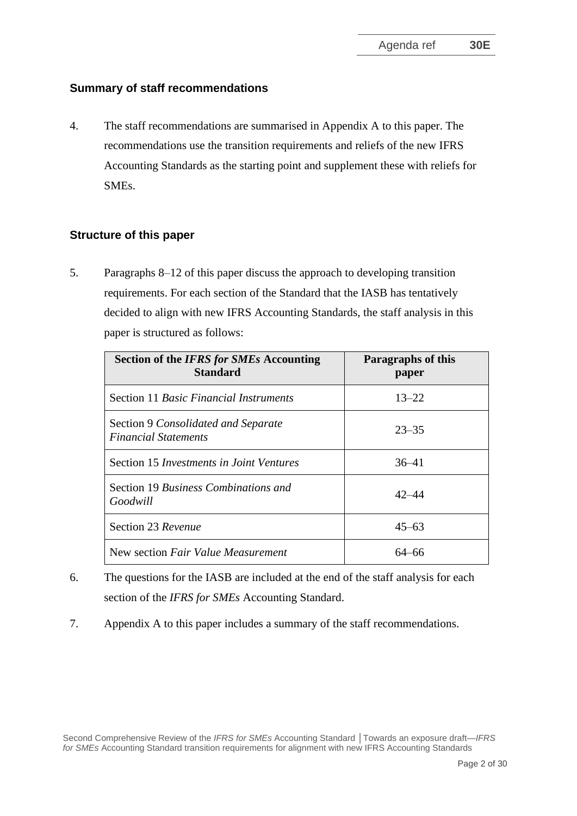## **Summary of staff recommendations**

4. The staff recommendations are summarised in Appendix A to this paper. The recommendations use the transition requirements and reliefs of the new IFRS Accounting Standards as the starting point and supplement these with reliefs for SMEs.

#### **Structure of this paper**

5. Paragraphs [8–](#page-2-0)[12](#page-3-0) of this paper discuss the approach to developing transition requirements. For each section of the Standard that the IASB has tentatively decided to align with new IFRS Accounting Standards, the staff analysis in this paper is structured as follows:

| Section of the IFRS for SMEs Accounting<br><b>Standard</b>         | Paragraphs of this<br>paper |
|--------------------------------------------------------------------|-----------------------------|
| <b>Section 11 Basic Financial Instruments</b>                      | $13 - 22$                   |
| Section 9 Consolidated and Separate<br><b>Financial Statements</b> | $23 - 35$                   |
| Section 15 <i>Investments in Joint Ventures</i>                    | $36 - 41$                   |
| Section 19 Business Combinations and<br>Goodwill                   | $42 - 44$                   |
| Section 23 Revenue                                                 | $45 - 63$                   |
| New section Fair Value Measurement                                 | 64–66                       |

- 6. The questions for the IASB are included at the end of the staff analysis for each section of the *IFRS for SMEs* Accounting Standard.
- 7. Appendix A to this paper includes a summary of the staff recommendations.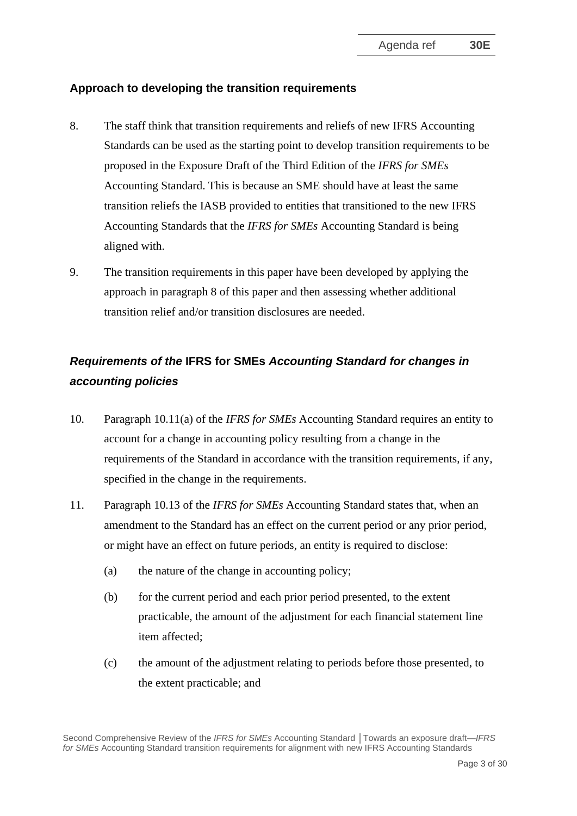## **Approach to developing the transition requirements**

- <span id="page-2-0"></span>8. The staff think that transition requirements and reliefs of new IFRS Accounting Standards can be used as the starting point to develop transition requirements to be proposed in the Exposure Draft of the Third Edition of the *IFRS for SMEs* Accounting Standard. This is because an SME should have at least the same transition reliefs the IASB provided to entities that transitioned to the new IFRS Accounting Standards that the *IFRS for SMEs* Accounting Standard is being aligned with.
- 9. The transition requirements in this paper have been developed by applying the approach in paragraph [8](#page-2-0) of this paper and then assessing whether additional transition relief and/or transition disclosures are needed.

## *Requirements of the* **IFRS for SMEs** *Accounting Standard for changes in accounting policies*

- 10. Paragraph 10.11(a) of the *IFRS for SMEs* Accounting Standard requires an entity to account for a change in accounting policy resulting from a change in the requirements of the Standard in accordance with the transition requirements, if any, specified in the change in the requirements.
- 11. Paragraph 10.13 of the *IFRS for SMEs* Accounting Standard states that, when an amendment to the Standard has an effect on the current period or any prior period, or might have an effect on future periods, an entity is required to disclose:
	- (a) the nature of the change in accounting policy;
	- (b) for the current period and each prior period presented, to the extent practicable, the amount of the adjustment for each financial statement line item affected;
	- (c) the amount of the adjustment relating to periods before those presented, to the extent practicable; and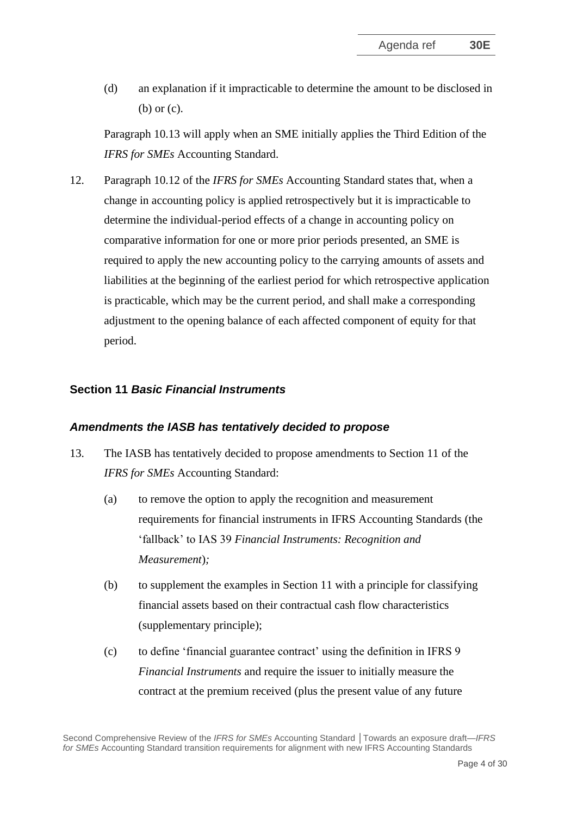(d) an explanation if it impracticable to determine the amount to be disclosed in (b) or (c).

Paragraph 10.13 will apply when an SME initially applies the Third Edition of the *IFRS for SMEs* Accounting Standard.

<span id="page-3-0"></span>12. Paragraph 10.12 of the *IFRS for SMEs* Accounting Standard states that, when a change in accounting policy is applied retrospectively but it is impracticable to determine the individual-period effects of a change in accounting policy on comparative information for one or more prior periods presented, an SME is required to apply the new accounting policy to the carrying amounts of assets and liabilities at the beginning of the earliest period for which retrospective application is practicable, which may be the current period, and shall make a corresponding adjustment to the opening balance of each affected component of equity for that period.

## **Section 11** *Basic Financial Instruments*

#### *Amendments the IASB has tentatively decided to propose*

- <span id="page-3-1"></span>13. The IASB has tentatively decided to propose amendments to Section 11 of the *IFRS for SMEs* Accounting Standard:
	- (a) to remove the option to apply the recognition and measurement requirements for financial instruments in IFRS Accounting Standards (the 'fallback' to IAS 39 *Financial Instruments: Recognition and Measurement*)*;*
	- (b) to supplement the examples in Section 11 with a principle for classifying financial assets based on their contractual cash flow characteristics (supplementary principle);
	- (c) to define 'financial guarantee contract' using the definition in IFRS 9 *Financial Instruments* and require the issuer to initially measure the contract at the premium received (plus the present value of any future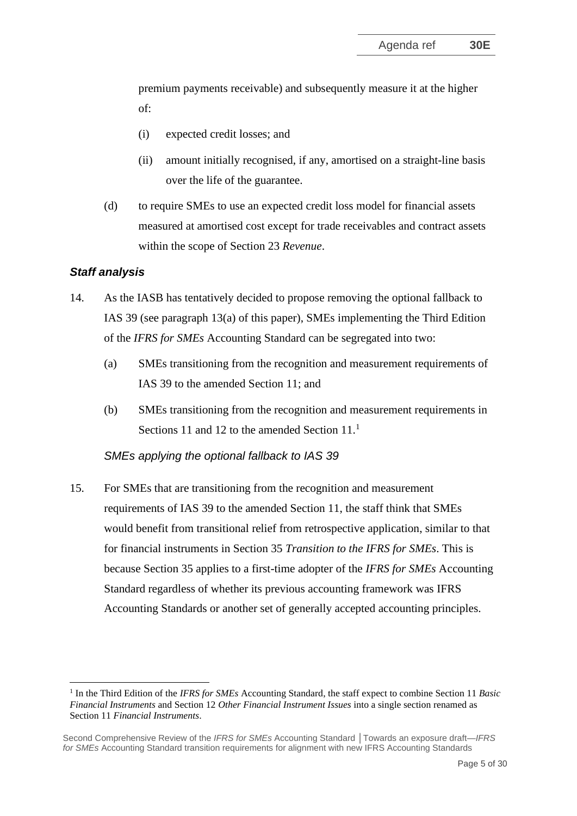premium payments receivable) and subsequently measure it at the higher of:

- (i) expected credit losses; and
- (ii) amount initially recognised, if any, amortised on a straight-line basis over the life of the guarantee.
- (d) to require SMEs to use an expected credit loss model for financial assets measured at amortised cost except for trade receivables and contract assets within the scope of Section 23 *Revenue*.

#### *Staff analysis*

- 14. As the IASB has tentatively decided to propose removing the optional fallback to IAS 39 (see paragraph [13\(](#page-3-1)a) of this paper), SMEs implementing the Third Edition of the *IFRS for SMEs* Accounting Standard can be segregated into two:
	- (a) SMEs transitioning from the recognition and measurement requirements of IAS 39 to the amended Section 11; and
	- (b) SMEs transitioning from the recognition and measurement requirements in Sections 11 and 12 to the amended Section  $11<sup>1</sup>$

#### *SMEs applying the optional fallback to IAS 39*

15. For SMEs that are transitioning from the recognition and measurement requirements of IAS 39 to the amended Section 11, the staff think that SMEs would benefit from transitional relief from retrospective application, similar to that for financial instruments in Section 35 *Transition to the IFRS for SMEs*. This is because Section 35 applies to a first-time adopter of the *IFRS for SMEs* Accounting Standard regardless of whether its previous accounting framework was IFRS Accounting Standards or another set of generally accepted accounting principles.

<sup>&</sup>lt;sup>1</sup> In the Third Edition of the *IFRS for SMEs* Accounting Standard, the staff expect to combine Section 11 *Basic Financial Instruments* and Section 12 *Other Financial Instrument Issues* into a single section renamed as Section 11 *Financial Instruments*.

Second Comprehensive Review of the *IFRS for SMEs* Accounting Standard **│**Towards an exposure draft—*IFRS for SMEs* Accounting Standard transition requirements for alignment with new IFRS Accounting Standards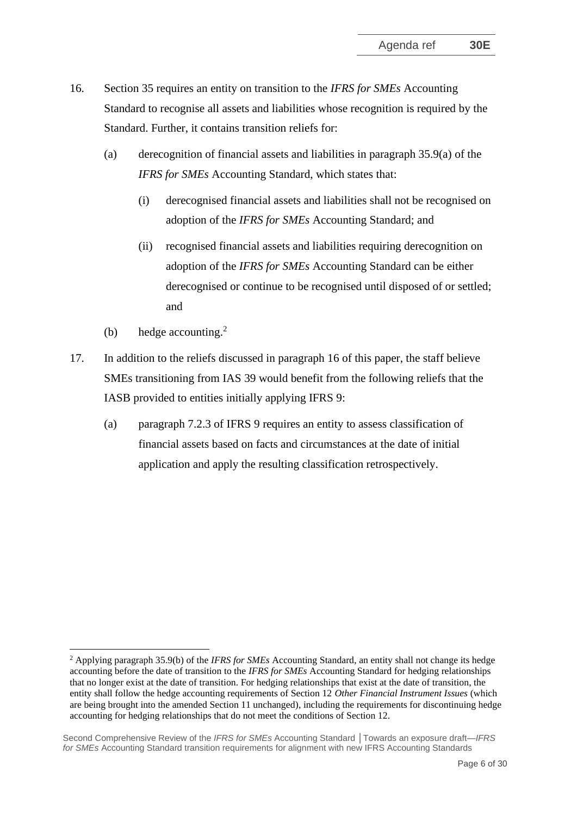- 16. Section 35 requires an entity on transition to the *IFRS for SMEs* Accounting Standard to recognise all assets and liabilities whose recognition is required by the Standard. Further, it contains transition reliefs for:
	- (a) derecognition of financial assets and liabilities in paragraph 35.9(a) of the *IFRS for SMEs* Accounting Standard, which states that:
		- (i) derecognised financial assets and liabilities shall not be recognised on adoption of the *IFRS for SMEs* Accounting Standard; and
		- (ii) recognised financial assets and liabilities requiring derecognition on adoption of the *IFRS for SMEs* Accounting Standard can be either derecognised or continue to be recognised until disposed of or settled; and
	- (b) hedge accounting. 2
- 17. In addition to the reliefs discussed in paragraph 16 of this paper, the staff believe SMEs transitioning from IAS 39 would benefit from the following reliefs that the IASB provided to entities initially applying IFRS 9:
	- (a) paragraph 7.2.3 of IFRS 9 requires an entity to assess classification of financial assets based on facts and circumstances at the date of initial application and apply the resulting classification retrospectively.

<sup>2</sup> Applying paragraph 35.9(b) of the *IFRS for SMEs* Accounting Standard, an entity shall not change its hedge accounting before the date of transition to the *IFRS for SMEs* Accounting Standard for hedging relationships that no longer exist at the date of transition. For hedging relationships that exist at the date of transition, the entity shall follow the hedge accounting requirements of Section 12 *Other Financial Instrument Issues* (which are being brought into the amended Section 11 unchanged), including the requirements for discontinuing hedge accounting for hedging relationships that do not meet the conditions of Section 12.

Second Comprehensive Review of the *IFRS for SMEs* Accounting Standard **│**Towards an exposure draft—*IFRS for SMEs* Accounting Standard transition requirements for alignment with new IFRS Accounting Standards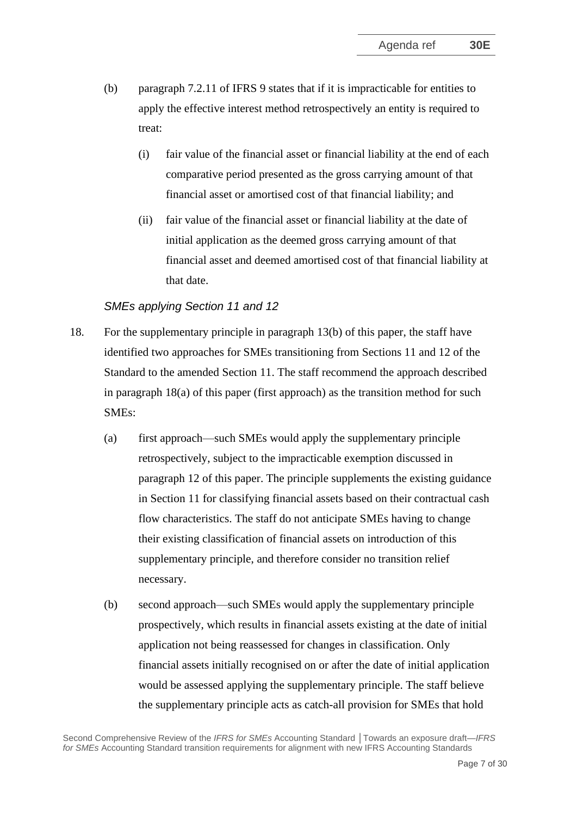- (b) paragraph 7.2.11 of IFRS 9 states that if it is impracticable for entities to apply the effective interest method retrospectively an entity is required to treat:
	- (i) fair value of the financial asset or financial liability at the end of each comparative period presented as the gross carrying amount of that financial asset or amortised cost of that financial liability; and
	- (ii) fair value of the financial asset or financial liability at the date of initial application as the deemed gross carrying amount of that financial asset and deemed amortised cost of that financial liability at that date.

## *SMEs applying Section 11 and 12*

- <span id="page-6-0"></span>18. For the supplementary principle in paragraph [13\(](#page-3-1)b) of this paper, the staff have identified two approaches for SMEs transitioning from Sections 11 and 12 of the Standard to the amended Section 11. The staff recommend the approach described in paragraph [18\(](#page-6-0)a) of this paper (first approach) as the transition method for such SMEs:
	- (a) first approach—such SMEs would apply the supplementary principle retrospectively, subject to the impracticable exemption discussed in paragraph [12](#page-3-0) of this paper. The principle supplements the existing guidance in Section 11 for classifying financial assets based on their contractual cash flow characteristics. The staff do not anticipate SMEs having to change their existing classification of financial assets on introduction of this supplementary principle, and therefore consider no transition relief necessary.
	- (b) second approach—such SMEs would apply the supplementary principle prospectively, which results in financial assets existing at the date of initial application not being reassessed for changes in classification. Only financial assets initially recognised on or after the date of initial application would be assessed applying the supplementary principle. The staff believe the supplementary principle acts as catch-all provision for SMEs that hold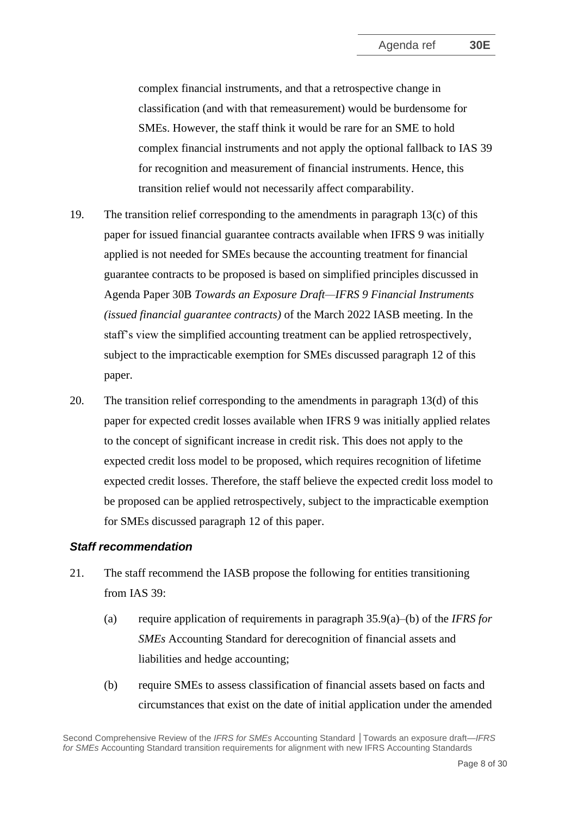complex financial instruments, and that a retrospective change in classification (and with that remeasurement) would be burdensome for SMEs. However, the staff think it would be rare for an SME to hold complex financial instruments and not apply the optional fallback to IAS 39 for recognition and measurement of financial instruments. Hence, this transition relief would not necessarily affect comparability.

- 19. The transition relief corresponding to the amendments in paragraph [13\(](#page-3-1)c) of this paper for issued financial guarantee contracts available when IFRS 9 was initially applied is not needed for SMEs because the accounting treatment for financial guarantee contracts to be proposed is based on simplified principles discussed in Agenda Paper 30B *Towards an Exposure Draft—IFRS 9 Financial Instruments (issued financial guarantee contracts)* of the March 2022 IASB meeting. In the staff's view the simplified accounting treatment can be applied retrospectively, subject to the impracticable exemption for SMEs discussed paragraph [12](#page-3-0) of this paper.
- 20. The transition relief corresponding to the amendments in paragraph [13\(](#page-3-1)d) of this paper for expected credit losses available when IFRS 9 was initially applied relates to the concept of significant increase in credit risk. This does not apply to the expected credit loss model to be proposed, which requires recognition of lifetime expected credit losses. Therefore, the staff believe the expected credit loss model to be proposed can be applied retrospectively, subject to the impracticable exemption for SMEs discussed paragraph [12](#page-3-0) of this paper.

#### *Staff recommendation*

- <span id="page-7-0"></span>21. The staff recommend the IASB propose the following for entities transitioning from IAS 39:
	- (a) require application of requirements in paragraph 35.9(a)–(b) of the *IFRS for SMEs* Accounting Standard for derecognition of financial assets and liabilities and hedge accounting;
	- (b) require SMEs to assess classification of financial assets based on facts and circumstances that exist on the date of initial application under the amended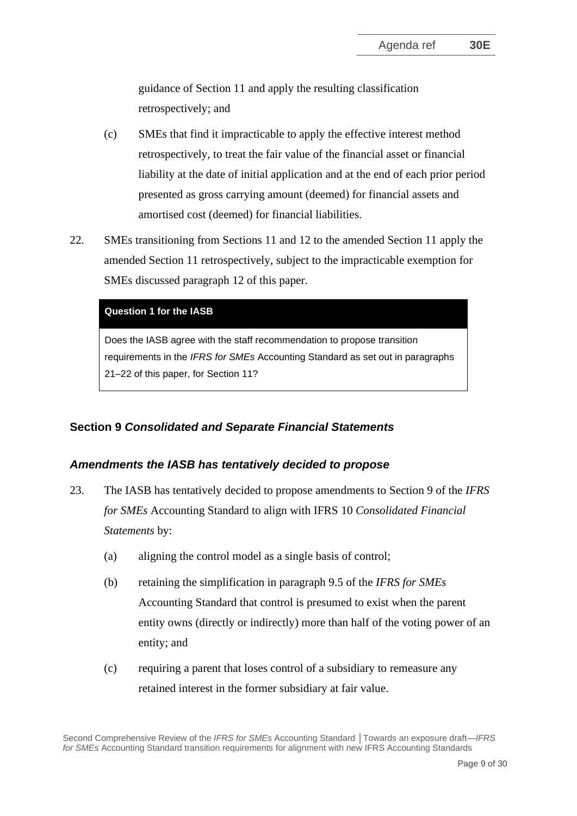guidance of Section 11 and apply the resulting classification retrospectively; and

- (c) SMEs that find it impracticable to apply the effective interest method retrospectively, to treat the fair value of the financial asset or financial liability at the date of initial application and at the end of each prior period presented as gross carrying amount (deemed) for financial assets and amortised cost (deemed) for financial liabilities.
- <span id="page-8-0"></span>22. SMEs transitioning from Sections 11 and 12 to the amended Section 11 apply the amended Section 11 retrospectively, subject to the impracticable exemption for SMEs discussed paragraph [12](#page-3-0) of this paper.

#### **Question 1 for the IASB**

Does the IASB agree with the staff recommendation to propose transition requirements in the *IFRS for SMEs* Accounting Standard as set out in paragraphs [21](#page-7-0)[–22](#page-8-0) of this paper, for Section 11?

## **Section 9** *Consolidated and Separate Financial Statements*

#### *Amendments the IASB has tentatively decided to propose*

- <span id="page-8-1"></span>23. The IASB has tentatively decided to propose amendments to Section 9 of the *IFRS for SMEs* Accounting Standard to align with IFRS 10 *Consolidated Financial Statements* by:
	- (a) aligning the control model as a single basis of control;
	- (b) retaining the simplification in paragraph 9.5 of the *IFRS for SMEs*  Accounting Standard that control is presumed to exist when the parent entity owns (directly or indirectly) more than half of the voting power of an entity; and
	- (c) requiring a parent that loses control of a subsidiary to remeasure any retained interest in the former subsidiary at fair value.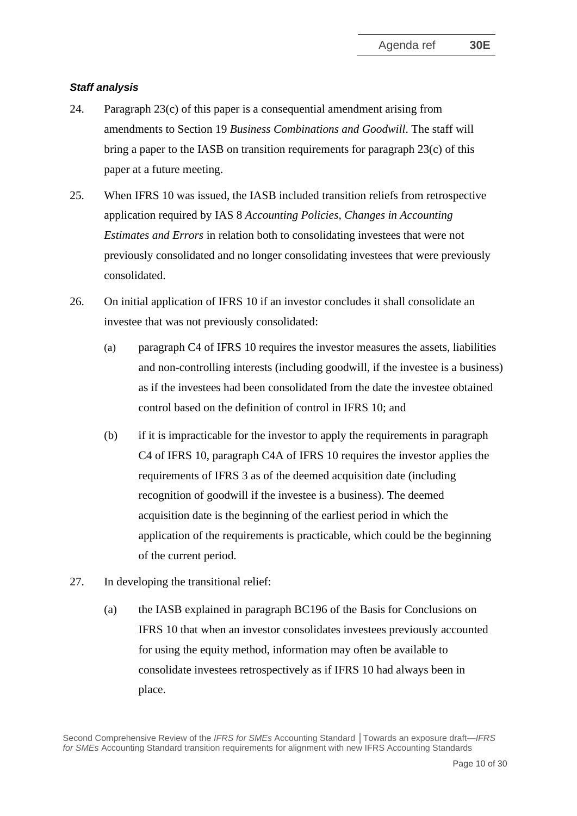## *Staff analysis*

- 24. Paragraph [23\(](#page-8-1)c) of this paper is a consequential amendment arising from amendments to Section 19 *Business Combinations and Goodwill*. The staff will bring a paper to the IASB on transition requirements for paragraph [23\(](#page-8-1)c) of this paper at a future meeting.
- 25. When IFRS 10 was issued, the IASB included transition reliefs from retrospective application required by IAS 8 *Accounting Policies, Changes in Accounting Estimates and Errors* in relation both to consolidating investees that were not previously consolidated and no longer consolidating investees that were previously consolidated.
- <span id="page-9-0"></span>26. On initial application of IFRS 10 if an investor concludes it shall consolidate an investee that was not previously consolidated:
	- (a) paragraph C4 of IFRS 10 requires the investor measures the assets, liabilities and non-controlling interests (including goodwill, if the investee is a business) as if the investees had been consolidated from the date the investee obtained control based on the definition of control in IFRS 10; and
	- (b) if it is impracticable for the investor to apply the requirements in paragraph C4 of IFRS 10, paragraph C4A of IFRS 10 requires the investor applies the requirements of IFRS 3 as of the deemed acquisition date (including recognition of goodwill if the investee is a business). The deemed acquisition date is the beginning of the earliest period in which the application of the requirements is practicable, which could be the beginning of the current period.
- 27. In developing the transitional relief:
	- (a) the IASB explained in paragraph BC196 of the Basis for Conclusions on IFRS 10 that when an investor consolidates investees previously accounted for using the equity method, information may often be available to consolidate investees retrospectively as if IFRS 10 had always been in place.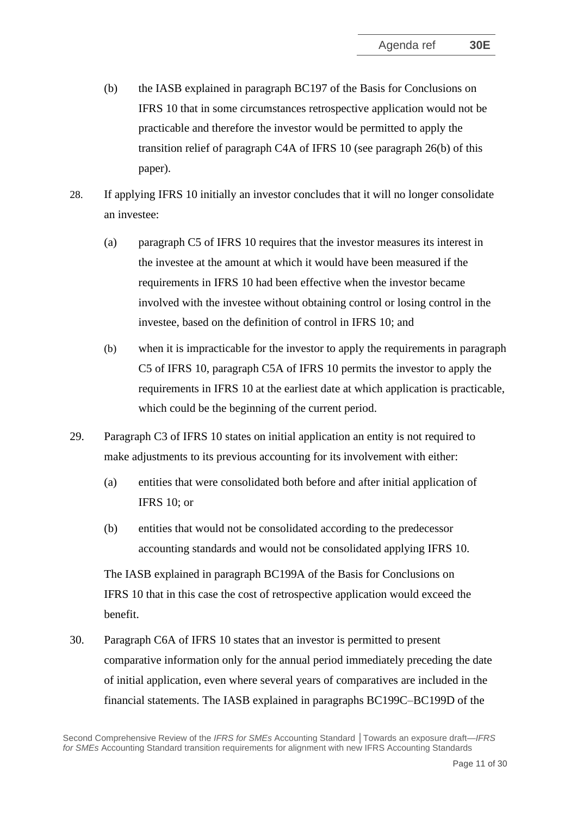- (b) the IASB explained in paragraph BC197 of the Basis for Conclusions on IFRS 10 that in some circumstances retrospective application would not be practicable and therefore the investor would be permitted to apply the transition relief of paragraph C4A of IFRS 10 (see paragraph [26\(](#page-9-0)b) of this paper).
- 28. If applying IFRS 10 initially an investor concludes that it will no longer consolidate an investee:
	- (a) paragraph C5 of IFRS 10 requires that the investor measures its interest in the investee at the amount at which it would have been measured if the requirements in IFRS 10 had been effective when the investor became involved with the investee without obtaining control or losing control in the investee, based on the definition of control in IFRS 10; and
	- (b) when it is impracticable for the investor to apply the requirements in paragraph C5 of IFRS 10, paragraph C5A of IFRS 10 permits the investor to apply the requirements in IFRS 10 at the earliest date at which application is practicable, which could be the beginning of the current period.
- 29. Paragraph C3 of IFRS 10 states on initial application an entity is not required to make adjustments to its previous accounting for its involvement with either:
	- (a) entities that were consolidated both before and after initial application of IFRS 10; or
	- (b) entities that would not be consolidated according to the predecessor accounting standards and would not be consolidated applying IFRS 10.

The IASB explained in paragraph BC199A of the Basis for Conclusions on IFRS 10 that in this case the cost of retrospective application would exceed the benefit.

30. Paragraph C6A of IFRS 10 states that an investor is permitted to present comparative information only for the annual period immediately preceding the date of initial application, even where several years of comparatives are included in the financial statements. The IASB explained in paragraphs BC199C–BC199D of the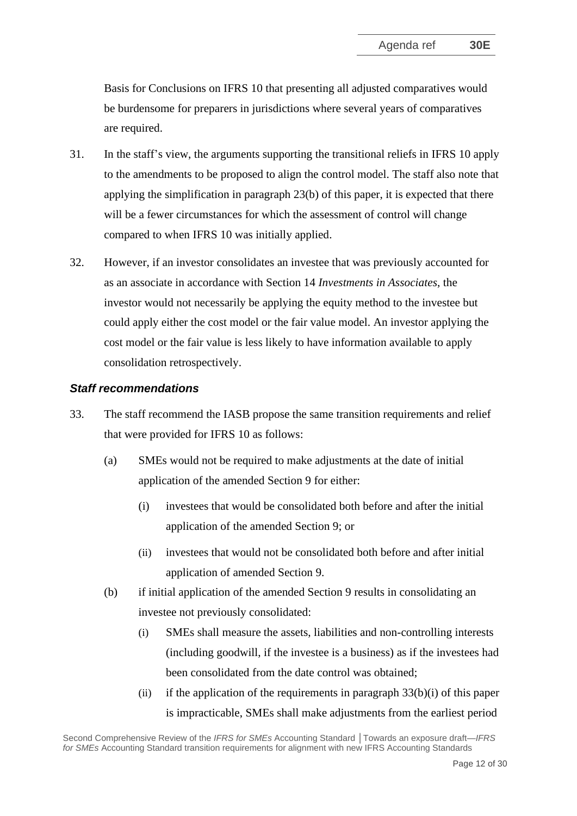Basis for Conclusions on IFRS 10 that presenting all adjusted comparatives would be burdensome for preparers in jurisdictions where several years of comparatives are required.

- 31. In the staff's view, the arguments supporting the transitional reliefs in IFRS 10 apply to the amendments to be proposed to align the control model. The staff also note that applying the simplification in paragraph [23\(](#page-8-1)b) of this paper, it is expected that there will be a fewer circumstances for which the assessment of control will change compared to when IFRS 10 was initially applied.
- 32. However, if an investor consolidates an investee that was previously accounted for as an associate in accordance with Section 14 *Investments in Associates*, the investor would not necessarily be applying the equity method to the investee but could apply either the cost model or the fair value model. An investor applying the cost model or the fair value is less likely to have information available to apply consolidation retrospectively.

#### *Staff recommendations*

- <span id="page-11-0"></span>33. The staff recommend the IASB propose the same transition requirements and relief that were provided for IFRS 10 as follows:
	- (a) SMEs would not be required to make adjustments at the date of initial application of the amended Section 9 for either:
		- (i) investees that would be consolidated both before and after the initial application of the amended Section 9; or
		- (ii) investees that would not be consolidated both before and after initial application of amended Section 9.
	- (b) if initial application of the amended Section 9 results in consolidating an investee not previously consolidated:
		- (i) SMEs shall measure the assets, liabilities and non-controlling interests (including goodwill, if the investee is a business) as if the investees had been consolidated from the date control was obtained;
		- (ii) if the application of the requirements in paragraph  $33(b)(i)$  of this paper is impracticable, SMEs shall make adjustments from the earliest period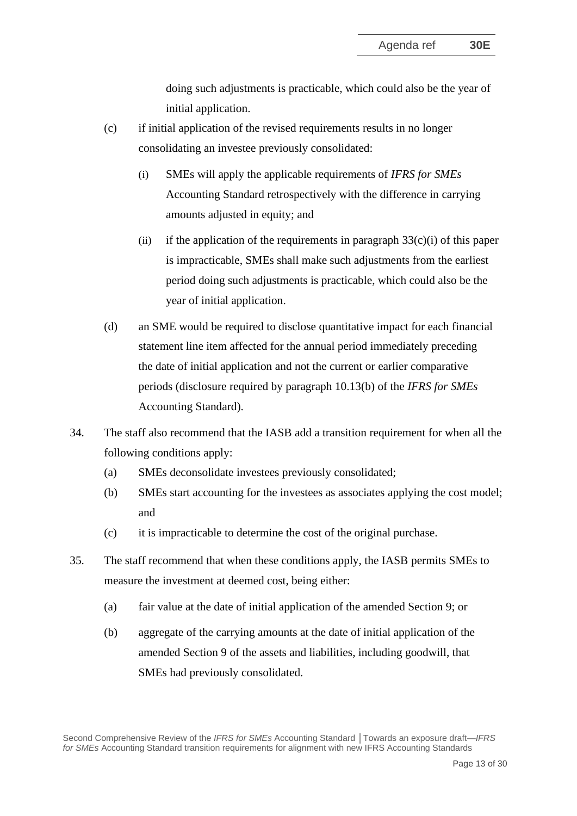doing such adjustments is practicable, which could also be the year of initial application.

- (c) if initial application of the revised requirements results in no longer consolidating an investee previously consolidated:
	- (i) SMEs will apply the applicable requirements of *IFRS for SMEs* Accounting Standard retrospectively with the difference in carrying amounts adjusted in equity; and
	- (ii) if the application of the requirements in paragraph  $33(c)(i)$  of this paper is impracticable, SMEs shall make such adjustments from the earliest period doing such adjustments is practicable, which could also be the year of initial application.
- (d) an SME would be required to disclose quantitative impact for each financial statement line item affected for the annual period immediately preceding the date of initial application and not the current or earlier comparative periods (disclosure required by paragraph 10.13(b) of the *IFRS for SMEs* Accounting Standard).
- 34. The staff also recommend that the IASB add a transition requirement for when all the following conditions apply:
	- (a) SMEs deconsolidate investees previously consolidated;
	- (b) SMEs start accounting for the investees as associates applying the cost model; and
	- (c) it is impracticable to determine the cost of the original purchase.
- <span id="page-12-0"></span>35. The staff recommend that when these conditions apply, the IASB permits SMEs to measure the investment at deemed cost, being either:
	- (a) fair value at the date of initial application of the amended Section 9; or
	- (b) aggregate of the carrying amounts at the date of initial application of the amended Section 9 of the assets and liabilities, including goodwill, that SMEs had previously consolidated.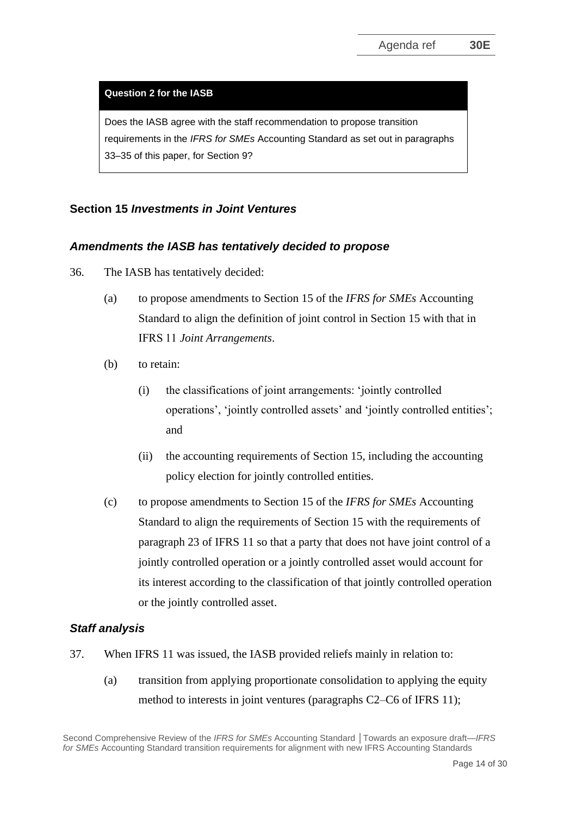#### **Question 2 for the IASB**

Does the IASB agree with the staff recommendation to propose transition requirements in the *IFRS for SMEs* Accounting Standard as set out in paragraphs [33](#page-11-0)[–35](#page-12-0) of this paper, for Section 9?

### **Section 15** *Investments in Joint Ventures*

#### *Amendments the IASB has tentatively decided to propose*

- <span id="page-13-0"></span>36. The IASB has tentatively decided:
	- (a) to propose amendments to Section 15 of the *IFRS for SMEs* Accounting Standard to align the definition of joint control in Section 15 with that in IFRS 11 *Joint Arrangements*.
	- (b) to retain:
		- (i) the classifications of joint arrangements: 'jointly controlled operations', 'jointly controlled assets' and 'jointly controlled entities'; and
		- (ii) the accounting requirements of Section 15, including the accounting policy election for jointly controlled entities.
	- (c) to propose amendments to Section 15 of the *IFRS for SMEs* Accounting Standard to align the requirements of Section 15 with the requirements of paragraph 23 of IFRS 11 so that a party that does not have joint control of a jointly controlled operation or a jointly controlled asset would account for its interest according to the classification of that jointly controlled operation or the jointly controlled asset.

#### *Staff analysis*

- 37. When IFRS 11 was issued, the IASB provided reliefs mainly in relation to:
	- (a) transition from applying proportionate consolidation to applying the equity method to interests in joint ventures (paragraphs C2–C6 of IFRS 11);

Second Comprehensive Review of the *IFRS for SMEs* Accounting Standard **│**Towards an exposure draft—*IFRS for SMEs* Accounting Standard transition requirements for alignment with new IFRS Accounting Standards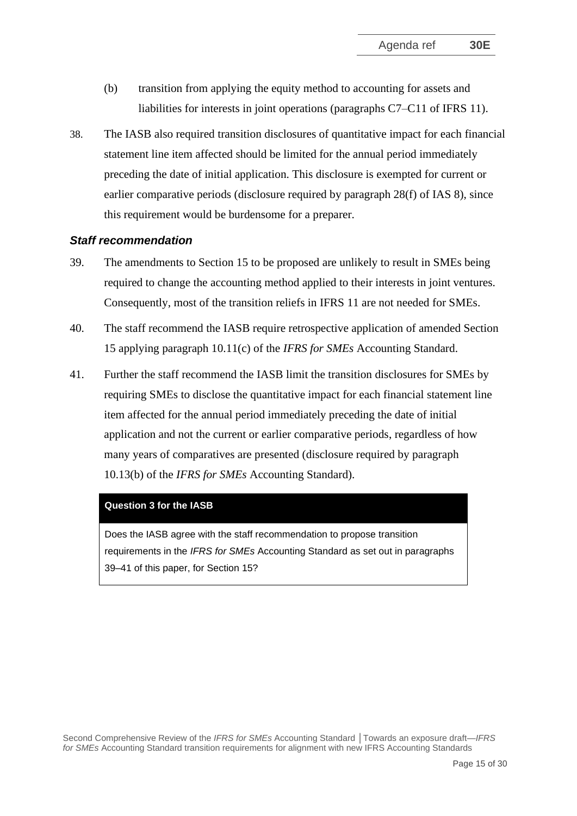- (b) transition from applying the equity method to accounting for assets and liabilities for interests in joint operations (paragraphs C7–C11 of IFRS 11).
- 38. The IASB also required transition disclosures of quantitative impact for each financial statement line item affected should be limited for the annual period immediately preceding the date of initial application. This disclosure is exempted for current or earlier comparative periods (disclosure required by paragraph 28(f) of IAS 8), since this requirement would be burdensome for a preparer.

#### *Staff recommendation*

- <span id="page-14-1"></span>39. The amendments to Section 15 to be proposed are unlikely to result in SMEs being required to change the accounting method applied to their interests in joint ventures. Consequently, most of the transition reliefs in IFRS 11 are not needed for SMEs.
- 40. The staff recommend the IASB require retrospective application of amended Section 15 applying paragraph 10.11(c) of the *IFRS for SMEs* Accounting Standard.
- <span id="page-14-0"></span>41. Further the staff recommend the IASB limit the transition disclosures for SMEs by requiring SMEs to disclose the quantitative impact for each financial statement line item affected for the annual period immediately preceding the date of initial application and not the current or earlier comparative periods, regardless of how many years of comparatives are presented (disclosure required by paragraph 10.13(b) of the *IFRS for SMEs* Accounting Standard).

#### **Question 3 for the IASB**

Does the IASB agree with the staff recommendation to propose transition requirements in the *IFRS for SMEs* Accounting Standard as set out in paragraphs [39](#page-14-1)[–41](#page-14-0) of this paper, for Section 15?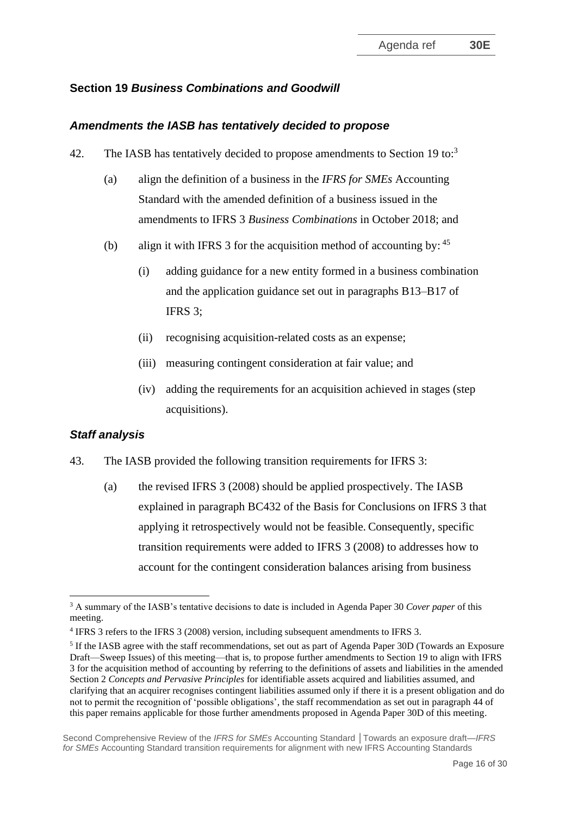## **Section 19** *Business Combinations and Goodwill*

#### *Amendments the IASB has tentatively decided to propose*

- <span id="page-15-0"></span>42. The IASB has tentatively decided to propose amendments to Section 19 to:<sup>3</sup>
	- (a) align the definition of a business in the *IFRS for SMEs* Accounting Standard with the amended definition of a business issued in the amendments to IFRS 3 *Business Combinations* in October 2018; and
	- (b) align it with IFRS 3 for the acquisition method of accounting by:  $45$ 
		- (i) adding guidance for a new entity formed in a business combination and the application guidance set out in paragraphs B13–B17 of IFRS 3;
		- (ii) recognising acquisition-related costs as an expense;
		- (iii) measuring contingent consideration at fair value; and
		- (iv) adding the requirements for an acquisition achieved in stages (step acquisitions).

#### *Staff analysis*

- 43. The IASB provided the following transition requirements for IFRS 3:
	- (a) the revised IFRS 3 (2008) should be applied prospectively. The IASB explained in paragraph BC432 of the Basis for Conclusions on IFRS 3 that applying it retrospectively would not be feasible. Consequently, specific transition requirements were added to IFRS 3 (2008) to addresses how to account for the contingent consideration balances arising from business

<sup>3</sup> A summary of the IASB's tentative decisions to date is included in Agenda Paper 30 *Cover paper* of this meeting.

<sup>&</sup>lt;sup>4</sup> IFRS 3 refers to the IFRS 3 (2008) version, including subsequent amendments to IFRS 3.

<sup>&</sup>lt;sup>5</sup> If the IASB agree with the staff recommendations, set out as part of Agenda Paper 30D (Towards an Exposure Draft—Sweep Issues) of this meeting—that is, to propose further amendments to Section 19 to align with IFRS 3 for the acquisition method of accounting by referring to the definitions of assets and liabilities in the amended Section 2 *Concepts and Pervasive Principles* for identifiable assets acquired and liabilities assumed, and clarifying that an acquirer recognises contingent liabilities assumed only if there it is a present obligation and do not to permit the recognition of 'possible obligations', the staff recommendation as set out in paragraph [44](#page-16-0) of this paper remains applicable for those further amendments proposed in Agenda Paper 30D of this meeting.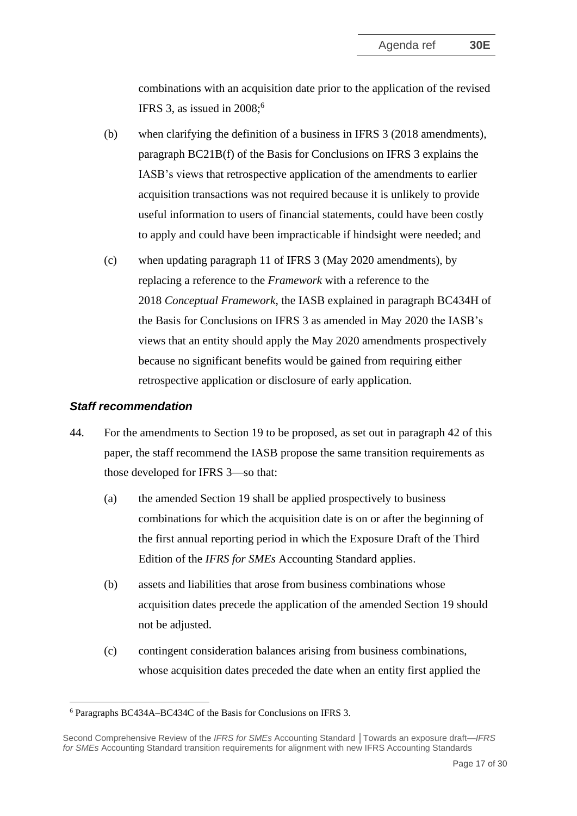combinations with an [acquisition date](https://eifrs.ifrs.org/eifrs/ViewContent?collection=2021_Annotated_Issued_Standards&fn=IFRS03_APPA.html&scrollTo=IFRS03_APPA__IFRS03_P0298) prior to the application of the revised IFRS 3, as issued in  $2008$ ;<sup>6</sup>

- (b) when clarifying the definition of a business in IFRS 3 (2018 amendments), paragraph BC21B(f) of the Basis for Conclusions on IFRS 3 explains the IASB's views that retrospective application of the amendments to earlier acquisition transactions was not required because it is unlikely to provide useful information to users of financial statements, could have been costly to apply and could have been impracticable if hindsight were needed; and
- (c) when updating paragraph 11 of IFRS 3 (May 2020 amendments), by replacing a reference to the *Framework* with a reference to the 2018 *Conceptual Framework*, the IASB explained in paragraph BC434H of the Basis for Conclusions on IFRS 3 as amended in May 2020 the IASB's views that an entity should apply the May 2020 amendments prospectively because no significant benefits would be gained from requiring either retrospective application or disclosure of early application.

## *Staff recommendation*

- <span id="page-16-0"></span>44. For the amendments to Section 19 to be proposed, as set out in paragraph [42](#page-15-0) of this paper, the staff recommend the IASB propose the same transition requirements as those developed for IFRS 3—so that:
	- (a) the amended Section 19 shall be applied prospectively to business combinations for which the acquisition date is on or after the beginning of the first annual reporting period in which the Exposure Draft of the Third Edition of the *IFRS for SMEs* Accounting Standard applies.
	- (b) assets and liabilities that arose from business combinations whose acquisition dates precede the application of the amended Section 19 should not be adjusted.
	- (c) contingent consideration balances arising from business combinations, whose acquisition dates preceded the date when an entity first applied the

<sup>6</sup> Paragraphs BC434A–BC434C of the Basis for Conclusions on IFRS 3.

Second Comprehensive Review of the *IFRS for SMEs* Accounting Standard **│**Towards an exposure draft—*IFRS for SMEs* Accounting Standard transition requirements for alignment with new IFRS Accounting Standards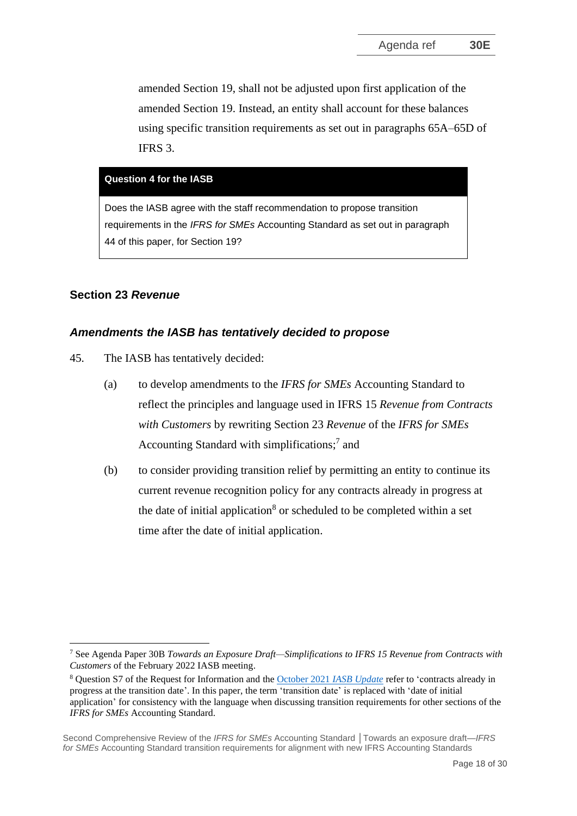amended Section 19, shall not be adjusted upon first application of the amended Section 19. Instead, an entity shall account for these balances using specific transition requirements as set out in paragraphs 65A–65D of IFRS 3.

#### **Question 4 for the IASB**

Does the IASB agree with the staff recommendation to propose transition requirements in the *IFRS for SMEs* Accounting Standard as set out in paragraph [44](#page-16-0) of this paper, for Section 19?

#### **Section 23** *Revenue*

#### *Amendments the IASB has tentatively decided to propose*

- <span id="page-17-0"></span>45. The IASB has tentatively decided:
	- (a) to develop amendments to the *IFRS for SMEs* Accounting Standard to reflect the principles and language used in IFRS 15 *Revenue from Contracts with Customers* by rewriting Section 23 *Revenue* of the *IFRS for SMEs* Accounting Standard with simplifications; 7 and
	- (b) to consider providing transition relief by permitting an entity to continue its current revenue recognition policy for any contracts already in progress at the date of initial application<sup>8</sup> or scheduled to be completed within a set time after the date of initial application.

<sup>7</sup> See Agenda Paper 30B *Towards an Exposure Draft—Simplifications to IFRS 15 Revenue from Contracts with Customers* of the February 2022 IASB meeting.

<sup>8</sup> Question S7 of the Request for Information and the [October 2021](https://www.ifrs.org/news-and-events/updates/iasb/2021/iasb-update-october-2021/#7) *IASB Update* refer to 'contracts already in progress at the transition date'. In this paper, the term 'transition date' is replaced with 'date of initial application' for consistency with the language when discussing transition requirements for other sections of the *IFRS for SMEs* Accounting Standard.

Second Comprehensive Review of the *IFRS for SMEs* Accounting Standard **│**Towards an exposure draft—*IFRS for SMEs* Accounting Standard transition requirements for alignment with new IFRS Accounting Standards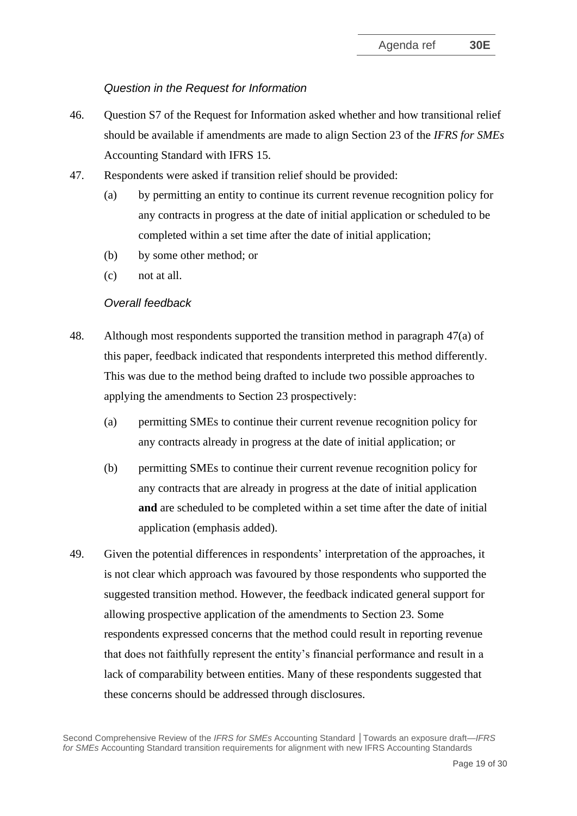## *Question in the Request for Information*

- 46. Question S7 of the Request for Information asked whether and how transitional relief should be available if amendments are made to align Section 23 of the *IFRS for SMEs* Accounting Standard with IFRS 15.
- <span id="page-18-0"></span>47. Respondents were asked if transition relief should be provided:
	- (a) by permitting an entity to continue its current revenue recognition policy for any contracts in progress at the date of initial application or scheduled to be completed within a set time after the date of initial application;
	- (b) by some other method; or
	- (c) not at all.

#### *Overall feedback*

- <span id="page-18-1"></span>48. Although most respondents supported the transition method in paragraph [47\(a\)](#page-18-0) of this paper, feedback indicated that respondents interpreted this method differently. This was due to the method being drafted to include two possible approaches to applying the amendments to Section 23 prospectively:
	- (a) permitting SMEs to continue their current revenue recognition policy for any contracts already in progress at the date of initial application; or
	- (b) permitting SMEs to continue their current revenue recognition policy for any contracts that are already in progress at the date of initial application **and** are scheduled to be completed within a set time after the date of initial application (emphasis added).
- <span id="page-18-3"></span><span id="page-18-2"></span>49. Given the potential differences in respondents' interpretation of the approaches, it is not clear which approach was favoured by those respondents who supported the suggested transition method. However, the feedback indicated general support for allowing prospective application of the amendments to Section 23. Some respondents expressed concerns that the method could result in reporting revenue that does not faithfully represent the entity's financial performance and result in a lack of comparability between entities. Many of these respondents suggested that these concerns should be addressed through disclosures.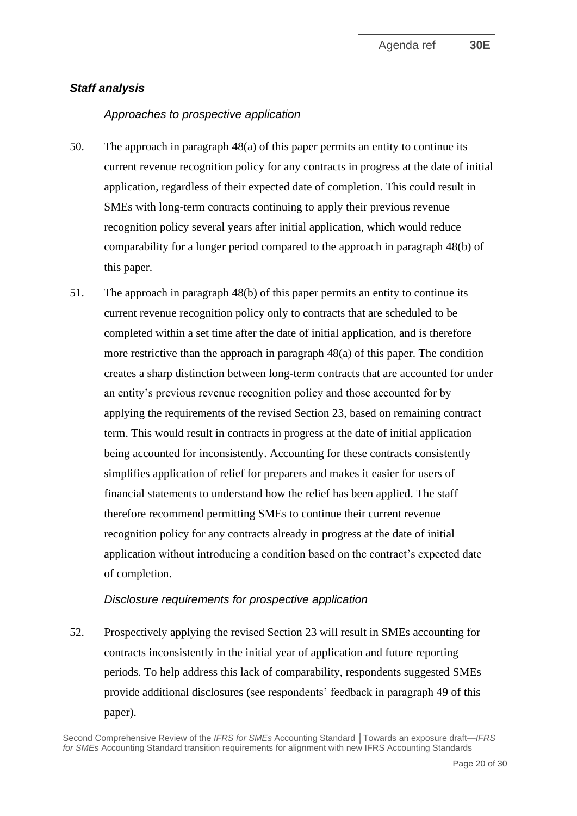## *Staff analysis*

## *Approaches to prospective application*

- 50. The approach in paragraph [48\(a\)](#page-18-1) of this paper permits an entity to continue its current revenue recognition policy for any contracts in progress at the date of initial application, regardless of their expected date of completion. This could result in SMEs with long-term contracts continuing to apply their previous revenue recognition policy several years after initial application, which would reduce comparability for a longer period compared to the approach in paragraph [48\(b\)](#page-18-2) of this paper.
- <span id="page-19-0"></span>51. The approach in paragraph [48\(b\)](#page-18-2) of this paper permits an entity to continue its current revenue recognition policy only to contracts that are scheduled to be completed within a set time after the date of initial application, and is therefore more restrictive than the approach in paragraph [48\(a\)](#page-18-1) of this paper. The condition creates a sharp distinction between long-term contracts that are accounted for under an entity's previous revenue recognition policy and those accounted for by applying the requirements of the revised Section 23, based on remaining contract term. This would result in contracts in progress at the date of initial application being accounted for inconsistently. Accounting for these contracts consistently simplifies application of relief for preparers and makes it easier for users of financial statements to understand how the relief has been applied. The staff therefore recommend permitting SMEs to continue their current revenue recognition policy for any contracts already in progress at the date of initial application without introducing a condition based on the contract's expected date of completion.

#### *Disclosure requirements for prospective application*

52. Prospectively applying the revised Section 23 will result in SMEs accounting for contracts inconsistently in the initial year of application and future reporting periods. To help address this lack of comparability, respondents suggested SMEs provide additional disclosures (see respondents' feedback in paragraph [49](#page-18-3) of this paper).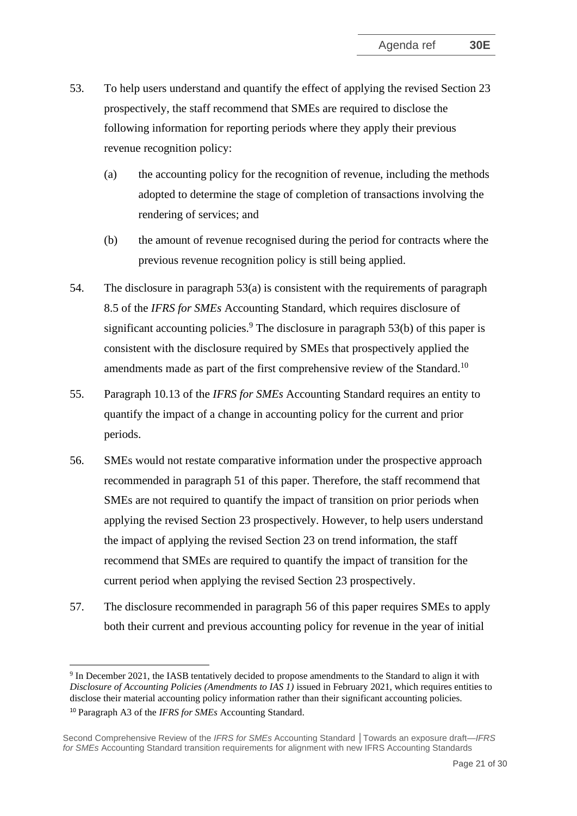- <span id="page-20-0"></span>53. To help users understand and quantify the effect of applying the revised Section 23 prospectively, the staff recommend that SMEs are required to disclose the following information for reporting periods where they apply their previous revenue recognition policy:
	- (a) the accounting policy for the recognition of revenue, including the methods adopted to determine the stage of completion of transactions involving the rendering of services; and
	- (b) the amount of revenue recognised during the period for contracts where the previous revenue recognition policy is still being applied.
- <span id="page-20-1"></span>54. The disclosure in paragraph [53\(a\)](#page-20-0) is consistent with the requirements of paragraph 8.5 of the *IFRS for SMEs* Accounting Standard, which requires disclosure of significant accounting policies.<sup>9</sup> The disclosure in paragraph  $53(b)$  of this paper is consistent with the disclosure required by SMEs that prospectively applied the amendments made as part of the first comprehensive review of the Standard.<sup>10</sup>
- 55. Paragraph 10.13 of the *IFRS for SMEs* Accounting Standard requires an entity to quantify the impact of a change in accounting policy for the current and prior periods.
- <span id="page-20-2"></span>56. SMEs would not restate comparative information under the prospective approach recommended in paragraph [51](#page-19-0) of this paper. Therefore, the staff recommend that SMEs are not required to quantify the impact of transition on prior periods when applying the revised Section 23 prospectively. However, to help users understand the impact of applying the revised Section 23 on trend information, the staff recommend that SMEs are required to quantify the impact of transition for the current period when applying the revised Section 23 prospectively.
- 57. The disclosure recommended in paragraph [56](#page-20-2) of this paper requires SMEs to apply both their current and previous accounting policy for revenue in the year of initial

<sup>&</sup>lt;sup>9</sup> In December 2021, the IASB tentatively decided to propose amendments to the Standard to align it with *Disclosure of Accounting Policies (Amendments to IAS 1)* issued in February 2021, which requires entities to disclose their material accounting policy information rather than their significant accounting policies.

<sup>10</sup> Paragraph A3 of the *IFRS for SMEs* Accounting Standard.

Second Comprehensive Review of the *IFRS for SMEs* Accounting Standard **│**Towards an exposure draft—*IFRS for SMEs* Accounting Standard transition requirements for alignment with new IFRS Accounting Standards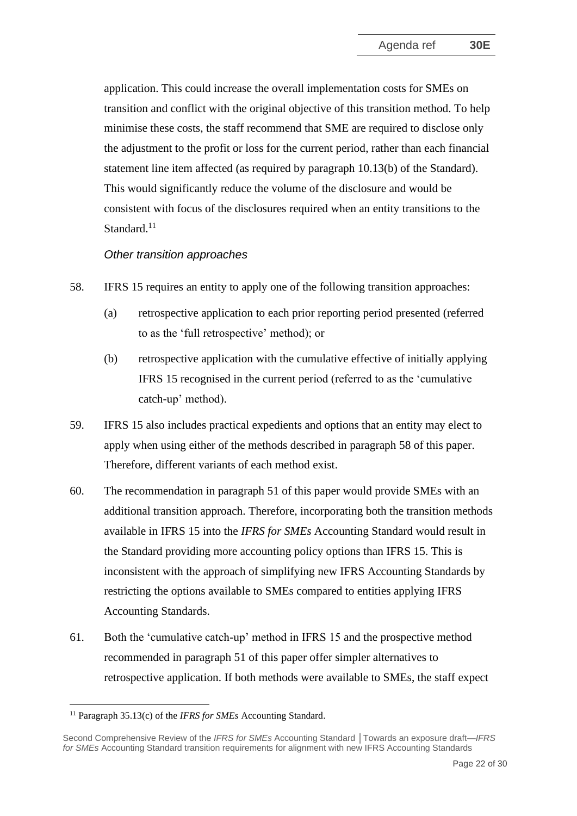application. This could increase the overall implementation costs for SMEs on transition and conflict with the original objective of this transition method. To help minimise these costs, the staff recommend that SME are required to disclose only the adjustment to the profit or loss for the current period, rather than each financial statement line item affected (as required by paragraph 10.13(b) of the Standard). This would significantly reduce the volume of the disclosure and would be consistent with focus of the disclosures required when an entity transitions to the Standard.<sup>11</sup>

#### *Other transition approaches*

- <span id="page-21-0"></span>58. IFRS 15 requires an entity to apply one of the following transition approaches:
	- (a) retrospective application to each prior reporting period presented (referred to as the 'full retrospective' method); or
	- (b) retrospective application with the cumulative effective of initially applying IFRS 15 recognised in the current period (referred to as the 'cumulative catch-up' method).
- 59. IFRS 15 also includes practical expedients and options that an entity may elect to apply when using either of the methods described in paragraph [58](#page-21-0) of this paper. Therefore, different variants of each method exist.
- 60. The recommendation in paragraph [51](#page-19-0) of this paper would provide SMEs with an additional transition approach. Therefore, incorporating both the transition methods available in IFRS 15 into the *IFRS for SMEs* Accounting Standard would result in the Standard providing more accounting policy options than IFRS 15. This is inconsistent with the approach of simplifying new IFRS Accounting Standards by restricting the options available to SMEs compared to entities applying IFRS Accounting Standards.
- 61. Both the 'cumulative catch-up' method in IFRS 15 and the prospective method recommended in paragraph [51](#page-19-0) of this paper offer simpler alternatives to retrospective application. If both methods were available to SMEs, the staff expect

<sup>11</sup> Paragraph 35.13(c) of the *IFRS for SMEs* Accounting Standard.

Second Comprehensive Review of the *IFRS for SMEs* Accounting Standard **│**Towards an exposure draft—*IFRS for SMEs* Accounting Standard transition requirements for alignment with new IFRS Accounting Standards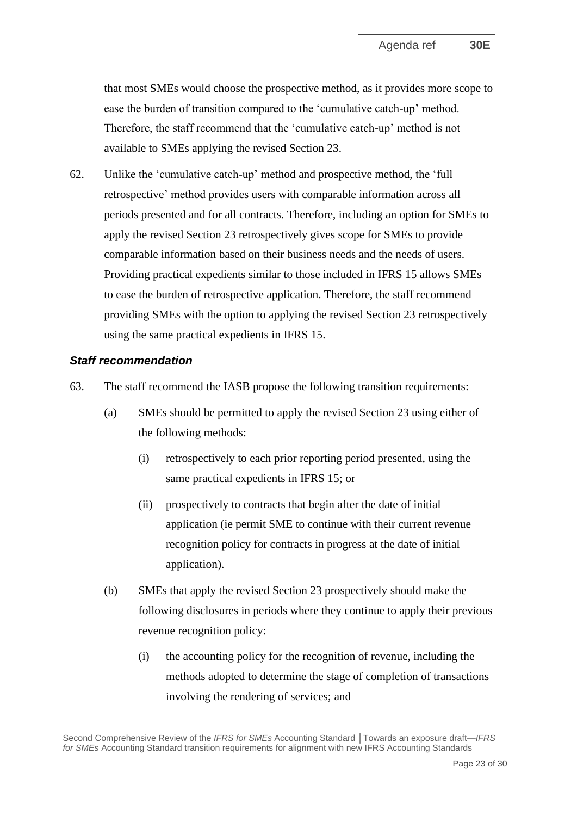that most SMEs would choose the prospective method, as it provides more scope to ease the burden of transition compared to the 'cumulative catch-up' method. Therefore, the staff recommend that the 'cumulative catch-up' method is not available to SMEs applying the revised Section 23.

62. Unlike the 'cumulative catch-up' method and prospective method, the 'full retrospective' method provides users with comparable information across all periods presented and for all contracts. Therefore, including an option for SMEs to apply the revised Section 23 retrospectively gives scope for SMEs to provide comparable information based on their business needs and the needs of users. Providing practical expedients similar to those included in IFRS 15 allows SMEs to ease the burden of retrospective application. Therefore, the staff recommend providing SMEs with the option to applying the revised Section 23 retrospectively using the same practical expedients in IFRS 15.

#### *Staff recommendation*

- <span id="page-22-0"></span>63. The staff recommend the IASB propose the following transition requirements:
	- (a) SMEs should be permitted to apply the revised Section 23 using either of the following methods:
		- (i) retrospectively to each prior reporting period presented, using the same practical expedients in IFRS 15; or
		- (ii) prospectively to contracts that begin after the date of initial application (ie permit SME to continue with their current revenue recognition policy for contracts in progress at the date of initial application).
	- (b) SMEs that apply the revised Section 23 prospectively should make the following disclosures in periods where they continue to apply their previous revenue recognition policy:
		- (i) the accounting policy for the recognition of revenue, including the methods adopted to determine the stage of completion of transactions involving the rendering of services; and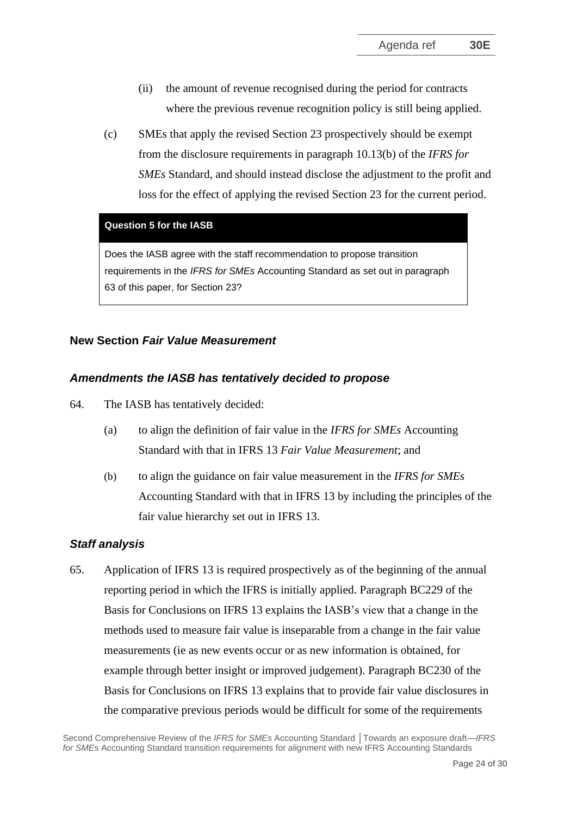- (ii) the amount of revenue recognised during the period for contracts where the previous revenue recognition policy is still being applied.
- (c) SMEs that apply the revised Section 23 prospectively should be exempt from the disclosure requirements in paragraph 10.13(b) of the *IFRS for SMEs* Standard, and should instead disclose the adjustment to the profit and loss for the effect of applying the revised Section 23 for the current period.

#### **Question 5 for the IASB**

Does the IASB agree with the staff recommendation to propose transition requirements in the *IFRS for SMEs* Accounting Standard as set out in paragraph [63](#page-22-0) of this paper, for Section 23?

## **New Section** *Fair Value Measurement*

#### *Amendments the IASB has tentatively decided to propose*

64. The IASB has tentatively decided:

- <span id="page-23-0"></span>(a) to align the definition of fair value in the *IFRS for SMEs* Accounting Standard with that in IFRS 13 *Fair Value Measurement*; and
- (b) to align the guidance on fair value measurement in the *IFRS for SMEs* Accounting Standard with that in IFRS 13 by including the principles of the fair value hierarchy set out in IFRS 13.

## *Staff analysis*

65. Application of IFRS 13 is required prospectively as of the beginning of the annual reporting period in which the IFRS is initially applied. Paragraph BC229 of the Basis for Conclusions on IFRS 13 explains the IASB's view that a change in the methods used to measure fair value is inseparable from a change in the fair value measurements (ie as new events occur or as new information is obtained, for example through better insight or improved judgement). Paragraph BC230 of the Basis for Conclusions on IFRS 13 explains that to provide fair value disclosures in the comparative previous periods would be difficult for some of the requirements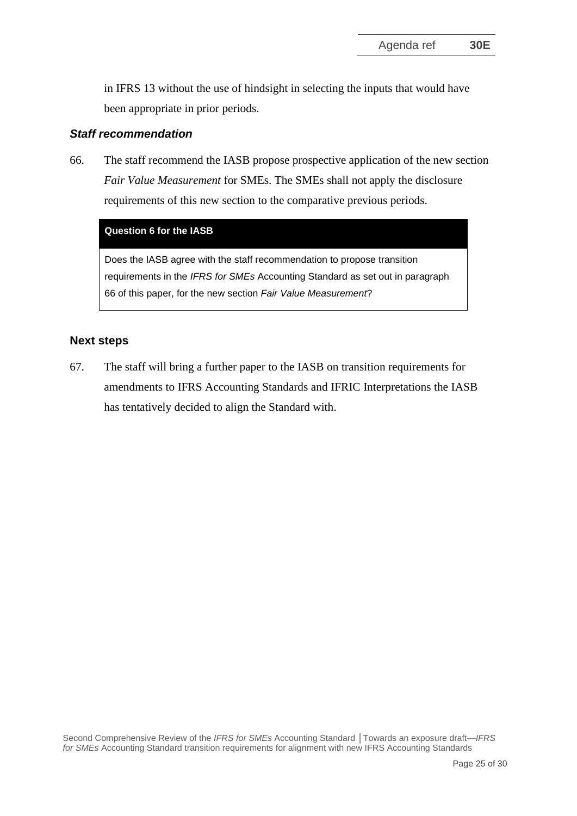in IFRS 13 without the use of hindsight in selecting the inputs that would have been appropriate in prior periods.

#### *Staff recommendation*

<span id="page-24-0"></span>66. The staff recommend the IASB propose prospective application of the new section *Fair Value Measurement* for SMEs. The SMEs shall not apply the disclosure requirements of this new section to the comparative previous periods.

#### **Question 6 for the IASB**

Does the IASB agree with the staff recommendation to propose transition requirements in the *IFRS for SMEs* Accounting Standard as set out in paragraph [66](#page-24-0) of this paper, for the new section *Fair Value Measurement*?

#### **Next steps**

67. The staff will bring a further paper to the IASB on transition requirements for amendments to IFRS Accounting Standards and IFRIC Interpretations the IASB has tentatively decided to align the Standard with.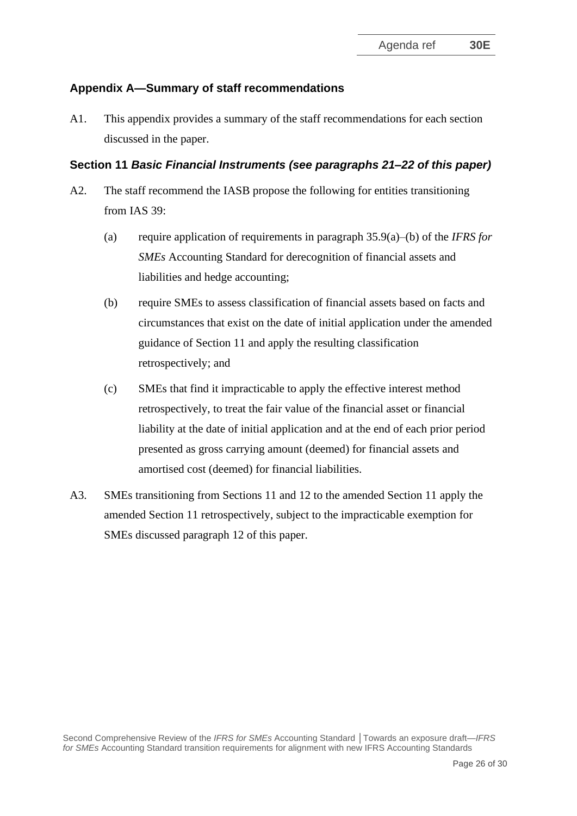## **Appendix A—Summary of staff recommendations**

A1. This appendix provides a summary of the staff recommendations for each section discussed in the paper.

## **Section 11** *Basic Financial Instruments (see paragraphs [21–](#page-7-0)[22](#page-8-0) of this paper)*

- A2. The staff recommend the IASB propose the following for entities transitioning from IAS 39:
	- (a) require application of requirements in paragraph 35.9(a)–(b) of the *IFRS for SMEs* Accounting Standard for derecognition of financial assets and liabilities and hedge accounting;
	- (b) require SMEs to assess classification of financial assets based on facts and circumstances that exist on the date of initial application under the amended guidance of Section 11 and apply the resulting classification retrospectively; and
	- (c) SMEs that find it impracticable to apply the effective interest method retrospectively, to treat the fair value of the financial asset or financial liability at the date of initial application and at the end of each prior period presented as gross carrying amount (deemed) for financial assets and amortised cost (deemed) for financial liabilities.
- A3. SMEs transitioning from Sections 11 and 12 to the amended Section 11 apply the amended Section 11 retrospectively, subject to the impracticable exemption for SMEs discussed paragraph [12](#page-3-0) of this paper.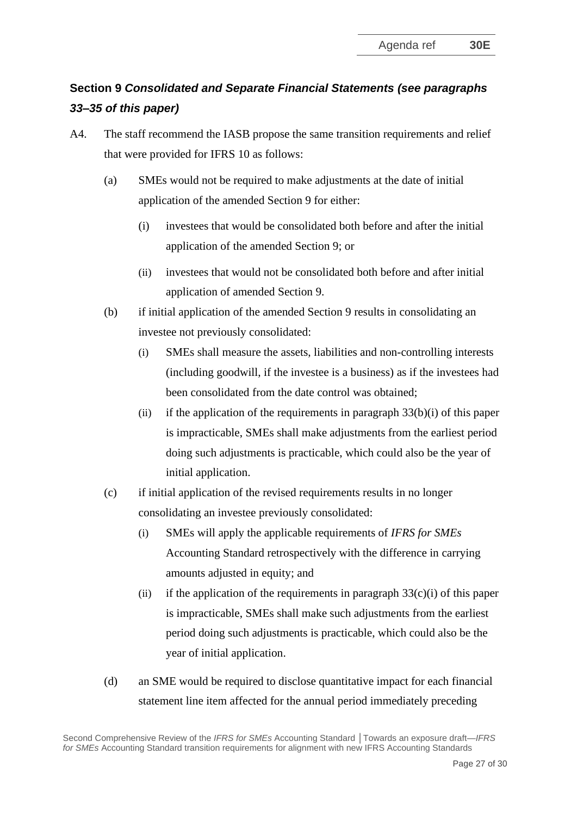# **Section 9** *Consolidated and Separate Financial Statements (see paragraphs [33–](#page-11-0)[35](#page-12-0) of this paper)*

- A4. The staff recommend the IASB propose the same transition requirements and relief that were provided for IFRS 10 as follows:
	- (a) SMEs would not be required to make adjustments at the date of initial application of the amended Section 9 for either:
		- (i) investees that would be consolidated both before and after the initial application of the amended Section 9; or
		- (ii) investees that would not be consolidated both before and after initial application of amended Section 9.
	- (b) if initial application of the amended Section 9 results in consolidating an investee not previously consolidated:
		- (i) SMEs shall measure the assets, liabilities and non-controlling interests (including goodwill, if the investee is a business) as if the investees had been consolidated from the date control was obtained;
		- (ii) if the application of the requirements in paragraph  $33(b)(i)$  of this paper is impracticable, SMEs shall make adjustments from the earliest period doing such adjustments is practicable, which could also be the year of initial application.
	- (c) if initial application of the revised requirements results in no longer consolidating an investee previously consolidated:
		- (i) SMEs will apply the applicable requirements of *IFRS for SMEs* Accounting Standard retrospectively with the difference in carrying amounts adjusted in equity; and
		- (ii) if the application of the requirements in paragraph  $33(c)(i)$  of this paper is impracticable, SMEs shall make such adjustments from the earliest period doing such adjustments is practicable, which could also be the year of initial application.
	- (d) an SME would be required to disclose quantitative impact for each financial statement line item affected for the annual period immediately preceding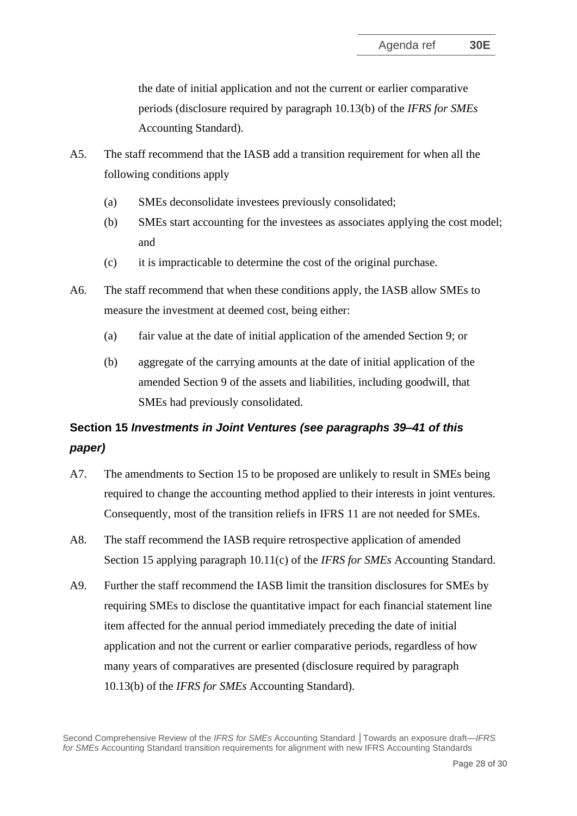the date of initial application and not the current or earlier comparative periods (disclosure required by paragraph 10.13(b) of the *IFRS for SMEs* Accounting Standard).

- A5. The staff recommend that the IASB add a transition requirement for when all the following conditions apply
	- (a) SMEs deconsolidate investees previously consolidated;
	- (b) SMEs start accounting for the investees as associates applying the cost model; and
	- (c) it is impracticable to determine the cost of the original purchase.
- A6. The staff recommend that when these conditions apply, the IASB allow SMEs to measure the investment at deemed cost, being either:
	- (a) fair value at the date of initial application of the amended Section 9; or
	- (b) aggregate of the carrying amounts at the date of initial application of the amended Section 9 of the assets and liabilities, including goodwill, that SMEs had previously consolidated.

# **Section 15** *Investments in Joint Ventures (see paragraphs [39](#page-14-1)[–41](#page-14-0) of this paper)*

- A7. The amendments to Section 15 to be proposed are unlikely to result in SMEs being required to change the accounting method applied to their interests in joint ventures. Consequently, most of the transition reliefs in IFRS 11 are not needed for SMEs.
- A8. The staff recommend the IASB require retrospective application of amended Section 15 applying paragraph 10.11(c) of the *IFRS for SMEs* Accounting Standard.
- A9. Further the staff recommend the IASB limit the transition disclosures for SMEs by requiring SMEs to disclose the quantitative impact for each financial statement line item affected for the annual period immediately preceding the date of initial application and not the current or earlier comparative periods, regardless of how many years of comparatives are presented (disclosure required by paragraph 10.13(b) of the *IFRS for SMEs* Accounting Standard).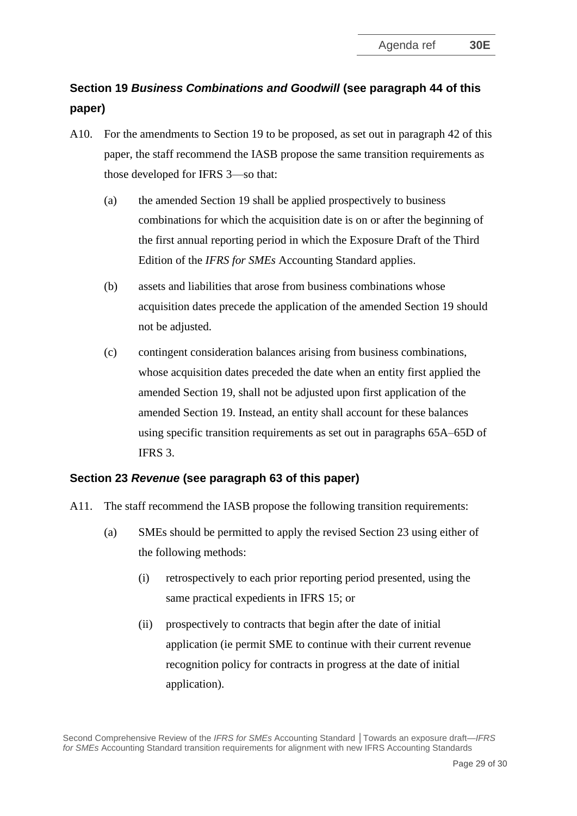## **Section 19** *Business Combinations and Goodwill* **(see paragraph [44](#page-16-0) of this paper)**

- A10. For the amendments to Section 19 to be proposed, as set out in paragraph [42](#page-15-0) of this paper, the staff recommend the IASB propose the same transition requirements as those developed for IFRS 3—so that:
	- (a) the amended Section 19 shall be applied prospectively to business combinations for which the acquisition date is on or after the beginning of the first annual reporting period in which the Exposure Draft of the Third Edition of the *IFRS for SMEs* Accounting Standard applies.
	- (b) assets and liabilities that arose from business combinations whose acquisition dates precede the application of the amended Section 19 should not be adjusted.
	- (c) contingent consideration balances arising from business combinations, whose acquisition dates preceded the date when an entity first applied the amended Section 19, shall not be adjusted upon first application of the amended Section 19. Instead, an entity shall account for these balances using specific transition requirements as set out in paragraphs 65A–65D of IFRS 3.

## **Section 23** *Revenue* **(see paragraph [63](#page-22-0) of this paper)**

- A11. The staff recommend the IASB propose the following transition requirements:
	- (a) SMEs should be permitted to apply the revised Section 23 using either of the following methods:
		- (i) retrospectively to each prior reporting period presented, using the same practical expedients in IFRS 15; or
		- (ii) prospectively to contracts that begin after the date of initial application (ie permit SME to continue with their current revenue recognition policy for contracts in progress at the date of initial application).